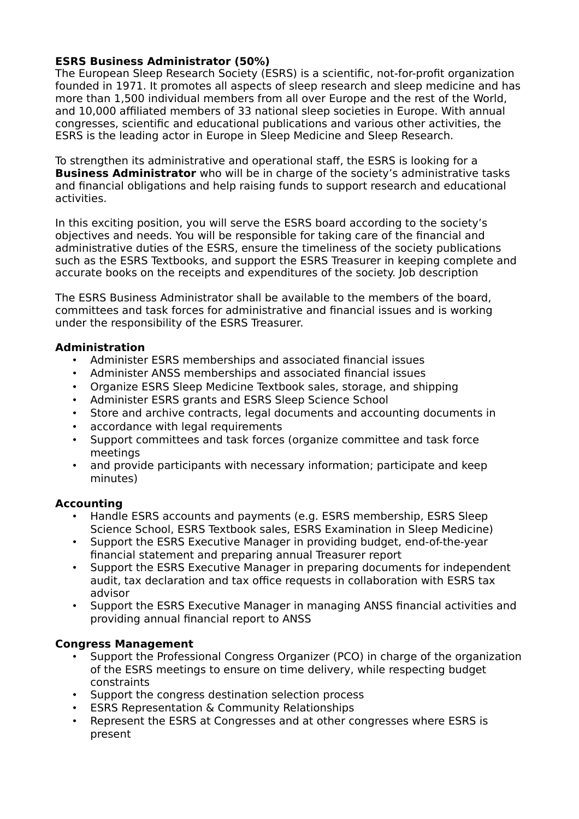## **ESRS Business Administrator (50%)**

The European Sleep Research Society (ESRS) is a scientific, not-for-profit organization founded in 1971. It promotes all aspects of sleep research and sleep medicine and has more than 1,500 individual members from all over Europe and the rest of the World, and 10,000 affiliated members of 33 national sleep societies in Europe. With annual congresses, scientific and educational publications and various other activities, the ESRS is the leading actor in Europe in Sleep Medicine and Sleep Research.

To strengthen its administrative and operational staff, the ESRS is looking for a **Business Administrator** who will be in charge of the society's administrative tasks and financial obligations and help raising funds to support research and educational activities.

In this exciting position, you will serve the ESRS board according to the society's objectives and needs. You will be responsible for taking care of the financial and administrative duties of the ESRS, ensure the timeliness of the society publications such as the ESRS Textbooks, and support the ESRS Treasurer in keeping complete and accurate books on the receipts and expenditures of the society. Job description

The ESRS Business Administrator shall be available to the members of the board, committees and task forces for administrative and financial issues and is working under the responsibility of the ESRS Treasurer.

### **Administration**

- Administer ESRS memberships and associated financial issues
- Administer ANSS memberships and associated financial issues
- Organize ESRS Sleep Medicine Textbook sales, storage, and shipping
- Administer ESRS grants and ESRS Sleep Science School
- Store and archive contracts, legal documents and accounting documents in
- accordance with legal requirements
- Support committees and task forces (organize committee and task force meetings
- and provide participants with necessary information; participate and keep minutes)

# **Accounting**

- Handle ESRS accounts and payments (e.g. ESRS membership, ESRS Sleep Science School, ESRS Textbook sales, ESRS Examination in Sleep Medicine)
- Support the ESRS Executive Manager in providing budget, end-of-the-year financial statement and preparing annual Treasurer report
- Support the ESRS Executive Manager in preparing documents for independent audit, tax declaration and tax office requests in collaboration with ESRS tax advisor
- Support the ESRS Executive Manager in managing ANSS financial activities and providing annual financial report to ANSS

# **Congress Management**

- Support the Professional Congress Organizer (PCO) in charge of the organization of the ESRS meetings to ensure on time delivery, while respecting budget constraints
- Support the congress destination selection process
- ESRS Representation & Community Relationships
- Represent the ESRS at Congresses and at other congresses where ESRS is present